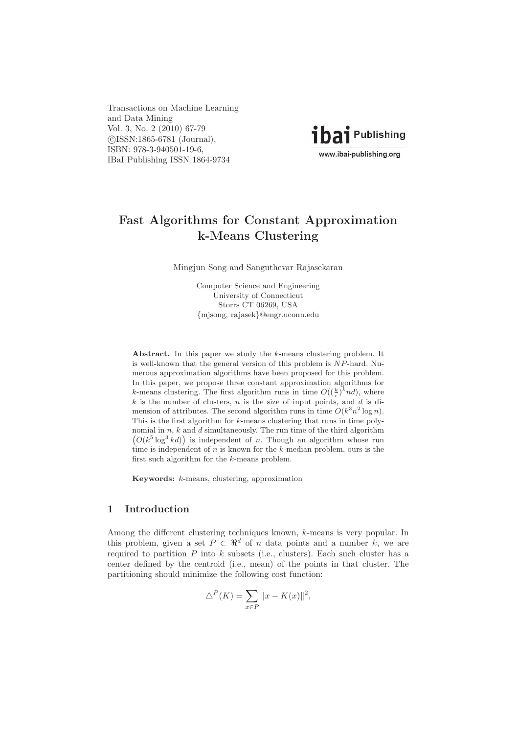Transactions on Machine Learning and Data Mining Vol. 3, No. 2 (2010) 67-79 -c ISSN:1865-6781 (Journal), ISBN: 978-3-940501-19-6, IBaI Publishing ISSN 1864-9734



# **Fast Algorithms for Constant Approximation k-Means Clustering**

Mingjun Song and Sanguthevar Rajasekaran

Computer Science and Engineering University of Connecticut Storrs CT 06269, USA {mjsong, rajasek}@engr.uconn.edu

Abstract. In this paper we study the k-means clustering problem. It is well-known that the general version of this problem is NP-hard. Numerous approximation algorithms have been proposed for this problem. In this paper, we propose three constant approximation algorithms for k-means clustering. The first algorithm runs in time  $O((\frac{k}{\epsilon})^k nd)$ , where  $k$  is the number of clusters,  $n$  is the size of input points, and  $d$  is dimension of attributes. The second algorithm runs in time  $O(k^3 n^2 \log n)$ . This is the first algorithm for k-means clustering that runs in time poly-  $(O(k^5 \log^3 kd))$  is independent of n. Though an algorithm whose run nomial in  $n, k$  and  $d$  simultaneously. The run time of the third algorithm time is independent of  $n$  is known for the  $k$ -median problem, ours is the first such algorithm for the k-means problem.

**Keywords:** k-means, clustering, approximation

## **1 Introduction**

Among the different clustering techniques known, k-means is very popular. In this problem, given a set  $P \subset \mathbb{R}^d$  of n data points and a number k, we are required to partition  $P$  into  $k$  subsets (i.e., clusters). Each such cluster has a center defined by the centroid (i.e., mean) of the points in that cluster. The partitioning should minimize the following cost function:

$$
\triangle^P(K) = \sum_{x \in P} ||x - K(x)||^2,
$$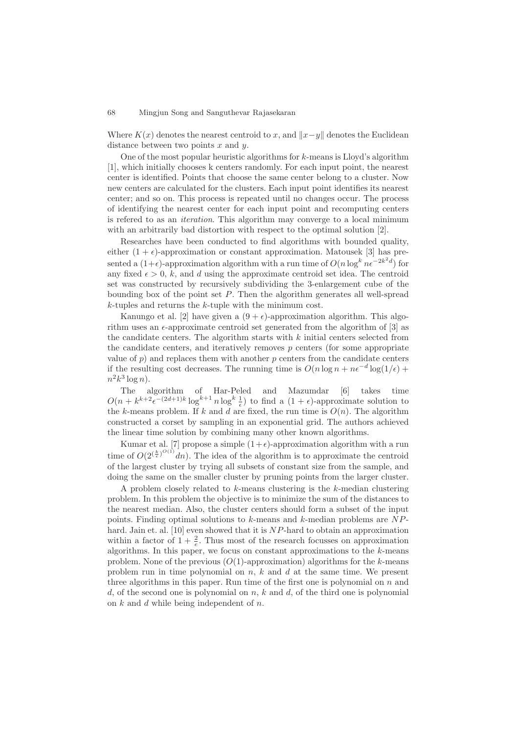Where  $K(x)$  denotes the nearest centroid to x, and  $||x-y||$  denotes the Euclidean distance between two points  $x$  and  $y$ .

One of the most popular heuristic algorithms for  $k$ -means is Lloyd's algorithm [1], which initially chooses k centers randomly. For each input point, the nearest center is identified. Points that choose the same center belong to a cluster. Now new centers are calculated for the clusters. Each input point identifies its nearest center; and so on. This process is repeated until no changes occur. The process of identifying the nearest center for each input point and recomputing centers is refered to as an iteration. This algorithm may converge to a local minimum with an arbitrarily bad distortion with respect to the optimal solution [2].

Researches have been conducted to find algorithms with bounded quality, either  $(1 + \epsilon)$ -approximation or constant approximation. Matousek [3] has presented a  $(1+\epsilon)$ -approximation algorithm with a run time of  $O(n \log^k n \epsilon^{-2k^2 d})$  for any fixed  $\epsilon > 0$ , k, and d using the approximate centroid set idea. The centroid set was constructed by recursively subdividing the 3-enlargement cube of the bounding box of the point set  $P$ . Then the algorithm generates all well-spread k-tuples and returns the k-tuple with the minimum cost.

Kanungo et al. [2] have given a  $(9 + \epsilon)$ -approximation algorithm. This algorithm uses an  $\epsilon$ -approximate centroid set generated from the algorithm of  $[3]$  as the candidate centers. The algorithm starts with  $k$  initial centers selected from the candidate centers, and iteratively removes  $p$  centers (for some appropriate value of  $p$ ) and replaces them with another  $p$  centers from the candidate centers if the resulting cost decreases. The running time is  $O(n \log n + n\epsilon^{-d} \log(1/\epsilon) +$  $n^2k^3\log n$ .

The algorithm of Har-Peled and Mazumdar [6] takes time  $O(n + k^{k+2} \epsilon^{-(2d+1)k} \log^{k+1} n \log^k \frac{1}{\epsilon})$  to find a  $(1 + \epsilon)$ -approximate solution to the k-means problem. If k and d are fixed, the run time is  $O(n)$ . The algorithm constructed a corset by sampling in an exponential grid. The authors achieved the linear time solution by combining many other known algorithms.

Kumar et al. [7] propose a simple  $(1+\epsilon)$ -approximation algorithm with a run time of  $O(2^{(\frac{k}{\epsilon})^{O(1)}}dn)$ . The idea of the algorithm is to approximate the centroid of the largest cluster by trying all subsets of constant size from the sample, and doing the same on the smaller cluster by pruning points from the larger cluster.

A problem closely related to k-means clustering is the k-median clustering problem. In this problem the objective is to minimize the sum of the distances to the nearest median. Also, the cluster centers should form a subset of the input points. Finding optimal solutions to  $k$ -means and  $k$ -median problems are  $NP$ hard. Jain et. al. [10] even showed that it is NP-hard to obtain an approximation within a factor of  $1 + \frac{2}{e}$ . Thus most of the research focusses on approximation algorithms. In this paper, we focus on constant approximations to the  $k$ -means problem. None of the previous  $(O(1)$ -approximation) algorithms for the k-means problem run in time polynomial on  $n, k$  and  $d$  at the same time. We present three algorithms in this paper. Run time of the first one is polynomial on  $n$  and d, of the second one is polynomial on  $n, k$  and  $d,$  of the third one is polynomial on k and d while being independent of n.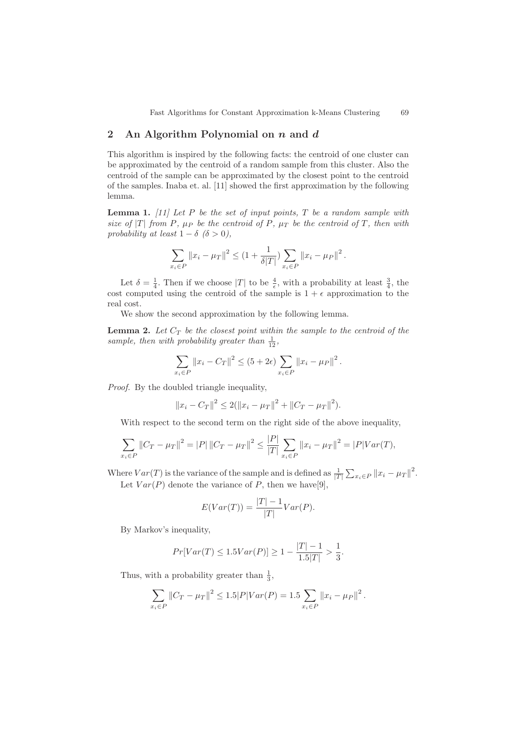### **2 An Algorithm Polynomial on** *n* **and** *d*

This algorithm is inspired by the following facts: the centroid of one cluster can be approximated by the centroid of a random sample from this cluster. Also the centroid of the sample can be approximated by the closest point to the centroid of the samples. Inaba et. al. [11] showed the first approximation by the following lemma.

**Lemma 1.** [11] Let P be the set of input points,  $T$  be a random sample with size of  $|T|$  from P,  $\mu_P$  be the centroid of P,  $\mu_T$  be the centroid of T, then with probability at least  $1 - \delta$  ( $\delta > 0$ ),

$$
\sum_{x_i \in P} ||x_i - \mu_T||^2 \le (1 + \frac{1}{\delta|T|}) \sum_{x_i \in P} ||x_i - \mu_P||^2.
$$

Let  $\delta = \frac{1}{4}$ . Then if we choose |T| to be  $\frac{4}{\epsilon}$ , with a probability at least  $\frac{3}{4}$ , the cost computed using the centroid of the sample is  $1 + \epsilon$  approximation to the real cost.

We show the second approximation by the following lemma.

**Lemma 2.** Let  $C_T$  be the closest point within the sample to the centroid of the sample, then with probability greater than  $\frac{1}{12}$ ,

$$
\sum_{x_i \in P} ||x_i - C_T||^2 \le (5 + 2\epsilon) \sum_{x_i \in P} ||x_i - \mu_P||^2.
$$

Proof. By the doubled triangle inequality,

$$
||x_i - C_T||^2 \le 2(||x_i - \mu_T||^2 + ||C_T - \mu_T||^2).
$$

With respect to the second term on the right side of the above inequality,

$$
\sum_{x_i \in P} ||C_T - \mu_T||^2 = |P| ||C_T - \mu_T||^2 \le \frac{|P|}{|T|} \sum_{x_i \in P} ||x_i - \mu_T||^2 = |P|Var(T),
$$

Where  $Var(T)$  is the variance of the sample and is defined as  $\frac{1}{|T|} \sum_{x_i \in P} ||x_i - \mu_T||^2$ . Let  $Var(P)$  denote the variance of P, then we have[9],

$$
E(Var(T)) = \frac{|T| - 1}{|T|}Var(P).
$$

By Markov's inequality,

$$
Pr[Var(T) \le 1.5Var(P)] \ge 1 - \frac{|T| - 1}{1.5|T|} > \frac{1}{3}.
$$

Thus, with a probability greater than  $\frac{1}{3}$ ,

$$
\sum_{x_i \in P} ||C_T - \mu_T||^2 \le 1.5|P|Var(P) = 1.5 \sum_{x_i \in P} ||x_i - \mu_P||^2.
$$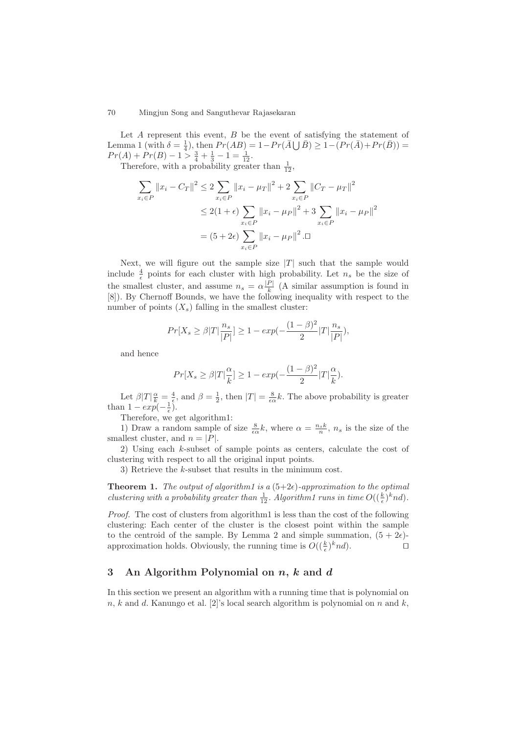Let  $A$  represent this event,  $B$  be the event of satisfying the statement of Lemma 1 (with  $\delta = \frac{1}{4}$ ), then  $Pr(AB) = 1 - Pr(\overline{A} \cup \overline{B}) \ge 1 - (Pr(\overline{A}) + Pr(\overline{B}))$  $Pr(A) + Pr(B) - 1 > \frac{3}{4} + \frac{1}{3} - 1 = \frac{1}{12}.$ 

Therefore, with a probability greater than  $\frac{1}{12}$ ,

$$
\sum_{x_i \in P} ||x_i - C_T||^2 \le 2 \sum_{x_i \in P} ||x_i - \mu_T||^2 + 2 \sum_{x_i \in P} ||C_T - \mu_T||^2
$$
  
\n
$$
\le 2(1 + \epsilon) \sum_{x_i \in P} ||x_i - \mu_P||^2 + 3 \sum_{x_i \in P} ||x_i - \mu_P||^2
$$
  
\n
$$
= (5 + 2\epsilon) \sum_{x_i \in P} ||x_i - \mu_P||^2 .\Box
$$

Next, we will figure out the sample size  $|T|$  such that the sample would include  $\frac{4}{\epsilon}$  points for each cluster with high probability. Let  $n_s$  be the size of the smallest cluster, and assume  $n_s = \alpha \frac{|P|}{k}$  (A similar assumption is found in [8]). By Chernoff Bounds, we have the following inequality with respect to the number of points  $(X_s)$  falling in the smallest cluster:

$$
Pr[X_s \ge \beta | T | \frac{n_s}{|P|}] \ge 1 - exp(-\frac{(1-\beta)^2}{2}|T| \frac{n_s}{|P|}),
$$

and hence

$$
Pr[X_s \ge \beta | T | \frac{\alpha}{k}] \ge 1 - exp(-\frac{(1-\beta)^2}{2}|T|\frac{\alpha}{k}).
$$

Let  $\beta|T|\frac{\alpha}{k}=\frac{4}{5}$ , and  $\beta=\frac{1}{2}$ , then  $|T|=\frac{8}{\epsilon\alpha}k$ . The above probability is greater than  $1 - exp(-\frac{1}{\epsilon}).$ 

Therefore, we get algorithm1:

1) Draw a random sample of size  $\frac{8}{5\alpha}k$ , where  $\alpha = \frac{n_s k}{n}$ ,  $n_s$  is the size of the smallest cluster, and  $n = |P|$ .

2) Using each k-subset of sample points as centers, calculate the cost of clustering with respect to all the original input points.

3) Retrieve the k-subset that results in the minimum cost.

**Theorem 1.** The output of algorithm1 is a  $(5+2\epsilon)$ -approximation to the optimal clustering with a probability greater than  $\frac{1}{12}$ . Algorithm1 runs in time  $O((\frac{k}{\epsilon})^k nd)$ .

Proof. The cost of clusters from algorithm1 is less than the cost of the following clustering: Each center of the cluster is the closest point within the sample to the centroid of the sample. By Lemma 2 and simple summation,  $(5+2\epsilon)$ approximation holds. Obviously, the running time is  $O((\frac{k}{\epsilon})^k nd)$ .  $\Box$ 

## **3 An Algorithm Polynomial on** *n***,** *k* **and** *d*

In this section we present an algorithm with a running time that is polynomial on  $n, k$  and d. Kanungo et al. [2]'s local search algorithm is polynomial on n and k,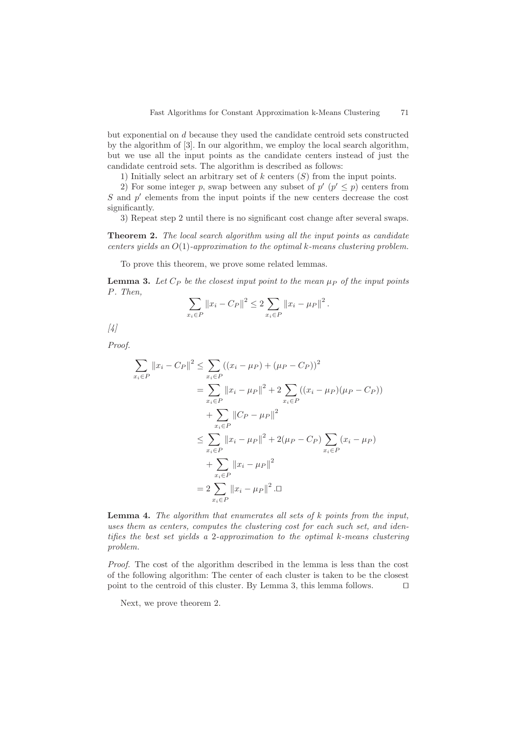but exponential on d because they used the candidate centroid sets constructed by the algorithm of [3]. In our algorithm, we employ the local search algorithm, but we use all the input points as the candidate centers instead of just the candidate centroid sets. The algorithm is described as follows:

1) Initially select an arbitrary set of  $k$  centers  $(S)$  from the input points.

2) For some integer p, swap between any subset of  $p'$  ( $p' \leq p$ ) centers from  $S$  and  $p'$  elements from the input points if the new centers decrease the cost significantly.

3) Repeat step 2 until there is no significant cost change after several swaps.

**Theorem 2.** The local search algorithm using all the input points as candidate centers yields an  $O(1)$ -approximation to the optimal k-means clustering problem.

To prove this theorem, we prove some related lemmas.

**Lemma 3.** Let  $C_P$  be the closest input point to the mean  $\mu_P$  of the input points P. Then,

$$
\sum_{x_i \in P} ||x_i - C_P||^2 \le 2 \sum_{x_i \in P} ||x_i - \mu_P||^2.
$$

[4]

Proof.

$$
\sum_{x_i \in P} ||x_i - C_P||^2 \le \sum_{x_i \in P} ((x_i - \mu_P) + (\mu_P - C_P))^2
$$
  
\n
$$
= \sum_{x_i \in P} ||x_i - \mu_P||^2 + 2 \sum_{x_i \in P} ((x_i - \mu_P)(\mu_P - C_P))
$$
  
\n
$$
+ \sum_{x_i \in P} ||C_P - \mu_P||^2
$$
  
\n
$$
\le \sum_{x_i \in P} ||x_i - \mu_P||^2 + 2(\mu_P - C_P) \sum_{x_i \in P} (x_i - \mu_P)
$$
  
\n
$$
+ \sum_{x_i \in P} ||x_i - \mu_P||^2
$$
  
\n
$$
= 2 \sum_{x_i \in P} ||x_i - \mu_P||^2 . \Box
$$

**Lemma 4.** The algorithm that enumerates all sets of k points from the input, uses them as centers, computes the clustering cost for each such set, and identifies the best set yields a 2-approximation to the optimal k-means clustering problem.

Proof. The cost of the algorithm described in the lemma is less than the cost of the following algorithm: The center of each cluster is taken to be the closest point to the centroid of this cluster. By Lemma 3, this lemma follows.  $\Box$ 

Next, we prove theorem 2.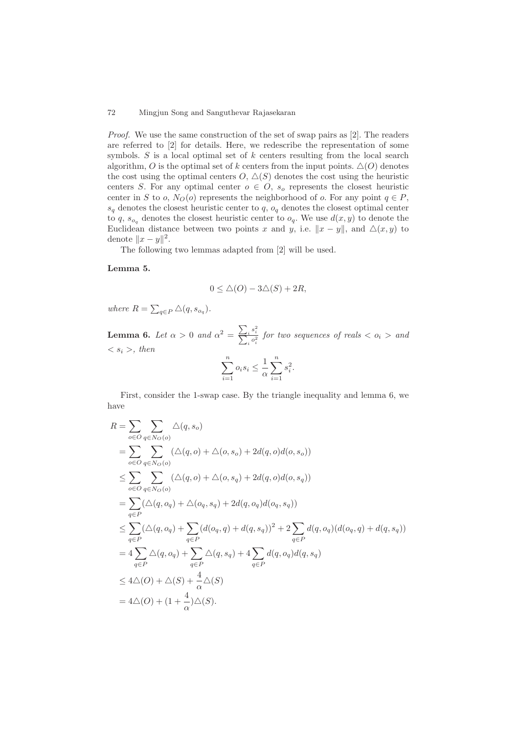Proof. We use the same construction of the set of swap pairs as [2]. The readers are referred to [2] for details. Here, we redescribe the representation of some symbols.  $S$  is a local optimal set of  $k$  centers resulting from the local search algorithm, O is the optimal set of k centers from the input points.  $\Delta(O)$  denotes the cost using the optimal centers  $O, \triangle(S)$  denotes the cost using the heuristic centers S. For any optimal center  $o \in O$ ,  $s_o$  represents the closest heuristic center in S to o,  $N_O$  (o) represents the neighborhood of o. For any point  $q \in P$ ,  $s_q$  denotes the closest heuristic center to q,  $o_q$  denotes the closest optimal center to q,  $s_{o_q}$  denotes the closest heuristic center to  $o_q$ . We use  $d(x, y)$  to denote the Euclidean distance between two points x and y, i.e.  $||x - y||$ , and  $\Delta(x, y)$  to denote  $||x - y||^2$ .

The following two lemmas adapted from [2] will be used.

#### **Lemma 5.**

$$
0\leq \triangle(O)-3\triangle(S)+2R,
$$

where  $R = \sum_{q \in P} \triangle(q, s_{o_q})$ .

**Lemma 6.** Let  $\alpha > 0$  and  $\alpha^2 = \frac{\sum_i s_i^2}{\sum_i \alpha_i^2}$  for two sequences of reals  $\langle o_i \rangle$  and  $\langle s_i \rangle$ , then

$$
\sum_{i=1}^{n} o_i s_i \le \frac{1}{\alpha} \sum_{i=1}^{n} s_i^2.
$$

First, consider the 1-swap case. By the triangle inequality and lemma 6, we have

$$
R = \sum_{o \in O} \sum_{q \in N_O(o)} \Delta(q, s_o)
$$
  
= 
$$
\sum_{o \in O} \sum_{q \in N_O(o)} (\Delta(q, o) + \Delta(o, s_o) + 2d(q, o)d(o, s_o))
$$
  

$$
\leq \sum_{o \in O} \sum_{q \in N_O(o)} (\Delta(q, o) + \Delta(o, s_q) + 2d(q, o)d(o, s_q))
$$
  
= 
$$
\sum_{q \in P} (\Delta(q, o_q) + \Delta(o_q, s_q) + 2d(q, o_q)d(o_q, s_q))
$$
  

$$
\leq \sum_{q \in P} (\Delta(q, o_q) + \sum_{q \in P} (d(o_q, q) + d(q, s_q))^2 + 2 \sum_{q \in P} d(q, o_q)(d(o_q, q) + d(q, s_q))
$$
  
= 
$$
4 \sum_{q \in P} \Delta(q, o_q) + \sum_{q \in P} \Delta(q, s_q) + 4 \sum_{q \in P} d(q, o_q)d(q, s_q)
$$
  

$$
\leq 4\Delta(O) + \Delta(S) + \frac{4}{\alpha} \Delta(S)
$$
  
= 
$$
4\Delta(O) + (1 + \frac{4}{\alpha})\Delta(S).
$$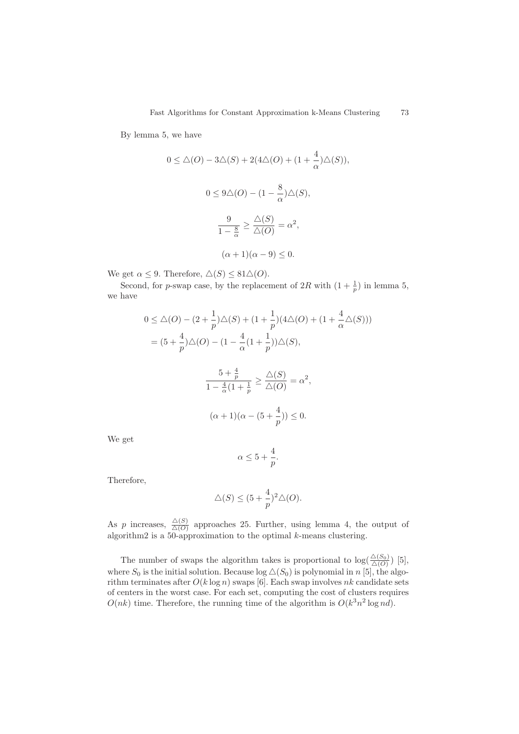By lemma 5, we have

$$
0 \leq \Delta(O) - 3\Delta(S) + 2(4\Delta(O) + (1 + \frac{4}{\alpha})\Delta(S)),
$$
  

$$
0 \leq 9\Delta(O) - (1 - \frac{8}{\alpha})\Delta(S),
$$
  

$$
\frac{9}{1 - \frac{8}{\alpha}} \geq \frac{\Delta(S)}{\Delta(O)} = \alpha^2,
$$
  

$$
(\alpha + 1)(\alpha - 9) \leq 0.
$$

We get  $\alpha \leq 9$ . Therefore,  $\Delta(S) \leq 81\Delta(O)$ .

Second, for p-swap case, by the replacement of  $2R$  with  $\left(1+\frac{1}{p}\right)$  in lemma 5, we have

$$
0 \leq \Delta(O) - (2 + \frac{1}{p})\Delta(S) + (1 + \frac{1}{p})(4\Delta(O) + (1 + \frac{4}{\alpha}\Delta(S)))
$$
  
=  $(5 + \frac{4}{p})\Delta(O) - (1 - \frac{4}{\alpha}(1 + \frac{1}{p}))\Delta(S),$ 

$$
\frac{5 + \frac{4}{p}}{1 - \frac{4}{\alpha}(1 + \frac{1}{p})} \ge \frac{\triangle(S)}{\triangle(O)} = \alpha^2,
$$
  

$$
(\alpha + 1)(\alpha - (5 + \frac{4}{p})) \le 0.
$$

We get

$$
\alpha \leq 5 + \frac{4}{p}.
$$

Therefore,

$$
\triangle(S) \le (5 + \frac{4}{p})^2 \triangle(O).
$$

As p increases,  $\frac{\Delta(S)}{\Delta(O)}$  approaches 25. Further, using lemma 4, the output of algorithm2 is a 50-approximation to the optimal  $k$ -means clustering.

The number of swaps the algorithm takes is proportional to  $\log(\frac{\Delta(S_0)}{\Delta(O)})$  [5], where  $S_0$  is the initial solution. Because  $\log \Delta(S_0)$  is polynomial in n [5], the algorithm terminates after  $O(k \log n)$  swaps [6]. Each swap involves nk candidate sets of centers in the worst case. For each set, computing the cost of clusters requires  $O(nk)$  time. Therefore, the running time of the algorithm is  $O(k^3n^2 \log nd)$ .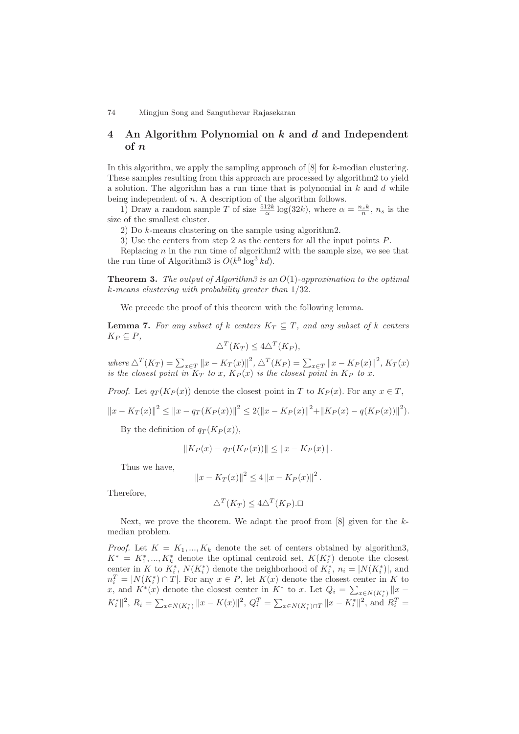# **4 An Algorithm Polynomial on** *k* **and** *d* **and Independent of** *n*

In this algorithm, we apply the sampling approach of [8] for k-median clustering. These samples resulting from this approach are processed by algorithm2 to yield a solution. The algorithm has a run time that is polynomial in  $k$  and  $d$  while being independent of  $n$ . A description of the algorithm follows.

1) Draw a random sample T of size  $\frac{512k}{\alpha} \log(32k)$ , where  $\alpha = \frac{n_s k}{n}$ ,  $n_s$  is the size of the smallest cluster.

2) Do k-means clustering on the sample using algorithm2.

3) Use the centers from step 2 as the centers for all the input points P.

Replacing  $n$  in the run time of algorithm2 with the sample size, we see that the run time of Algorithm3 is  $O(k^5 \log^3 kd)$ .

**Theorem 3.** The output of Algorithm3 is an  $O(1)$ -approximation to the optimal k-means clustering with probability greater than 1/32.

We precede the proof of this theorem with the following lemma.

**Lemma 7.** For any subset of k centers  $K_T \subseteq T$ , and any subset of k centers  $K_P \subseteq P$ ,

$$
\triangle^T(K_T) \le 4\triangle^T(K_P),
$$

where  $\Delta^T (K_T) = \sum_{x \in T} ||x - K_T(x)||^2$ ,  $\Delta^T (K_P) = \sum_{x \in T} ||x - K_P(x)||^2$ ,  $K_T(x)$ is the closest point in  $K_T$  to x,  $K_P(x)$  is the closest point in  $K_P$  to x.

*Proof.* Let  $q_T(K_P(x))$  denote the closest point in T to  $K_P(x)$ . For any  $x \in T$ ,

$$
||x - K_T(x)||^2 \le ||x - q_T(K_P(x))||^2 \le 2(||x - K_P(x)||^2 + ||K_P(x) - q(K_P(x))||^2).
$$

By the definition of  $q_T(K_P(x))$ ,

$$
||K_P(x) - q_T(K_P(x))|| \le ||x - K_P(x)||.
$$

Thus we have,

$$
||x - K_T(x)||^2 \le 4 ||x - K_P(x)||^2.
$$

Therefore,

$$
\triangle^T(K_T) \le 4\triangle^T(K_P).\Box
$$

Next, we prove the theorem. We adapt the proof from  $[8]$  given for the kmedian problem.

*Proof.* Let  $K = K_1, ..., K_k$  denote the set of centers obtained by algorithm3,  $K^* = K_1^*, ..., K_k^*$  denote the optimal centroid set,  $K(K_i^*)$  denote the closest center in K to  $K_i^*$ ,  $N(K_i^*)$  denote the neighborhood of  $K_i^*$ ,  $n_i = |N(K_i^*)|$ , and  $n_i^T = |N(K_i^*) \cap T|$ . For any  $x \in P$ , let  $K(x)$  denote the closest center in K to x, and  $K^*(x)$  denote the closest center in  $K^*$  to x. Let  $Q_i = \sum_{x \in N(K_i^*)} ||x - \rangle$  $K_i^* \|_2^2$ ,  $R_i = \sum_{x \in N(K_i^*)} \|x - K(x)\|^2$ ,  $Q_i^T = \sum_{x \in N(K_i^*) \cap T} \|x - K_i^*\|^2$ , and  $R_i^T =$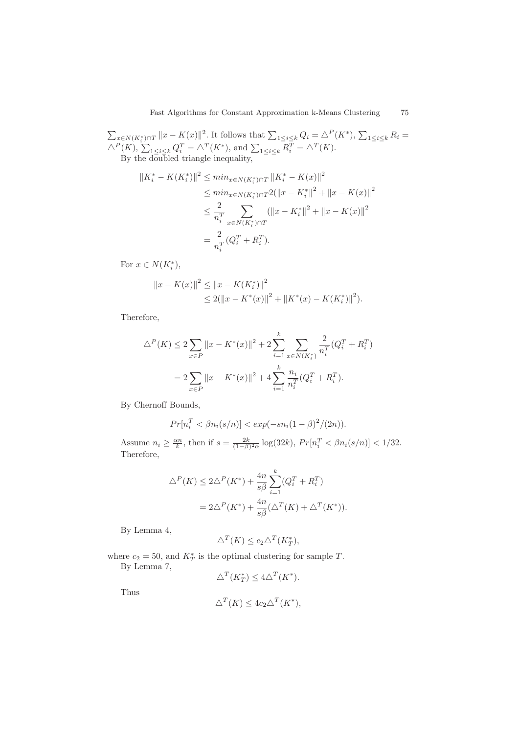$\sum_{x \in N(K_i^*) \cap T} ||x - K(x)||^2$ . It follows that  $\sum_{1 \leq i \leq k} Q_i = \Delta^P(K^*)$ ,  $\sum_{1 \leq i \leq k} R_i =$  $\triangle^P(K)$ ,  $\sum_{1 \leq i \leq k} Q_i^T = \triangle^T(K^*)$ , and  $\sum_{1 \leq i \leq k} R_i^T = \triangle^T(K)$ . By the doubled triangle inequality,

$$
||K_i^* - K(K_i^*)||^2 \le \min_{x \in N(K_i^*) \cap T} ||K_i^* - K(x)||^2
$$
  
\n
$$
\le \min_{x \in N(K_i^*) \cap T} 2(||x - K_i^*||^2 + ||x - K(x)||^2
$$
  
\n
$$
\le \frac{2}{n_i^T} \sum_{x \in N(K_i^*) \cap T} (||x - K_i^*||^2 + ||x - K(x)||^2
$$
  
\n
$$
= \frac{2}{n_i^T} (Q_i^T + R_i^T).
$$

For  $x \in N(K_i^*),$ 

$$
||x - K(x)||^{2} \le ||x - K(K_{i}^{*})||^{2}
$$
  
\n
$$
\le 2(||x - K^{*}(x)||^{2} + ||K^{*}(x) - K(K_{i}^{*})||^{2}).
$$

Therefore,

$$
\Delta^{P}(K) \le 2 \sum_{x \in P} ||x - K^{*}(x)||^{2} + 2 \sum_{i=1}^{k} \sum_{x \in N(K_{i}^{*})} \frac{2}{n_{i}^{T}} (Q_{i}^{T} + R_{i}^{T})
$$

$$
= 2 \sum_{x \in P} ||x - K^{*}(x)||^{2} + 4 \sum_{i=1}^{k} \frac{n_{i}}{n_{i}^{T}} (Q_{i}^{T} + R_{i}^{T}).
$$

By Chernoff Bounds,

$$
Pr[n_i^T < \beta n_i(s/n)] < exp(-sn_i(1-\beta)^2/(2n)).
$$

Assume  $n_i \geq \frac{\alpha n}{k}$ , then if  $s = \frac{2k}{(1-\beta)^2 \alpha} \log(32k)$ ,  $Pr[n_i^T < \beta n_i(s/n)] < 1/32$ . Therefore,

$$
\Delta^P(K) \le 2\Delta^P(K^*) + \frac{4n}{s\beta} \sum_{i=1}^k (Q_i^T + R_i^T)
$$
  
= 
$$
2\Delta^P(K^*) + \frac{4n}{s\beta} (\Delta^T(K) + \Delta^T(K^*)).
$$

By Lemma 4,

$$
\Delta^T(K) \le c_2 \Delta^T(K_T^*),
$$

where  $c_2 = 50$ , and  $K_T^*$  is the optimal clustering for sample T. By Lemma 7,

$$
\triangle^T(K_T^*) \le 4\triangle^T(K^*).
$$

Thus

$$
\triangle^T(K) \le 4c_2 \triangle^T(K^*),
$$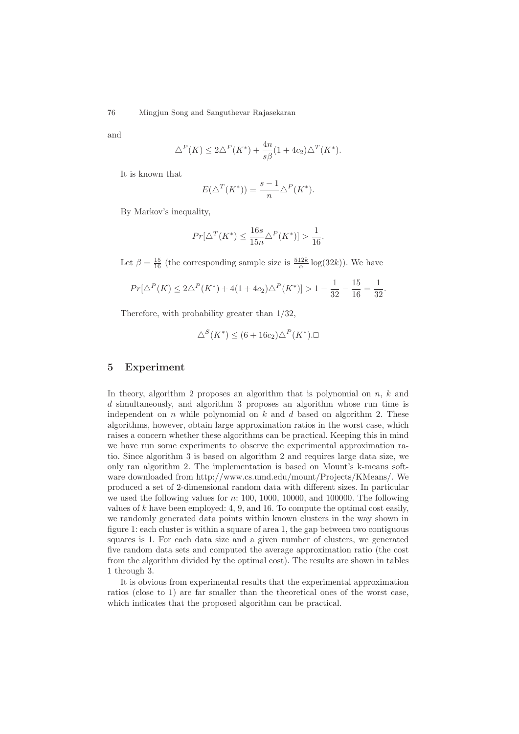and

$$
\Delta^P(K) \le 2\Delta^P(K^*) + \frac{4n}{s\beta}(1+4c_2)\Delta^T(K^*).
$$

It is known that

$$
E(\triangle^T(K^*)) = \frac{s-1}{n} \triangle^P(K^*).
$$

By Markov's inequality,

$$
Pr[\Delta^T(K^*) \le \frac{16s}{15n} \Delta^P(K^*)] > \frac{1}{16}.
$$

Let  $\beta = \frac{15}{16}$  (the corresponding sample size is  $\frac{512k}{\alpha} \log(32k)$ ). We have

$$
Pr[\Delta^P(K) \le 2\Delta^P(K^*) + 4(1 + 4c_2)\Delta^P(K^*)] > 1 - \frac{1}{32} - \frac{15}{16} = \frac{1}{32}.
$$

Therefore, with probability greater than 1/32,

$$
\triangle^S(K^*) \le (6 + 16c_2)\triangle^P(K^*).\square
$$

# **5 Experiment**

In theory, algorithm 2 proposes an algorithm that is polynomial on  $n, k$  and d simultaneously, and algorithm 3 proposes an algorithm whose run time is independent on  $n$  while polynomial on  $k$  and  $d$  based on algorithm 2. These algorithms, however, obtain large approximation ratios in the worst case, which raises a concern whether these algorithms can be practical. Keeping this in mind we have run some experiments to observe the experimental approximation ratio. Since algorithm 3 is based on algorithm 2 and requires large data size, we only ran algorithm 2. The implementation is based on Mount's k-means software downloaded from http://www.cs.umd.edu/mount/Projects/KMeans/. We produced a set of 2-dimensional random data with different sizes. In particular we used the following values for n: 100, 1000, 10000, and 100000. The following values of  $k$  have been employed: 4, 9, and 16. To compute the optimal cost easily, we randomly generated data points within known clusters in the way shown in figure 1: each cluster is within a square of area 1, the gap between two contiguous squares is 1. For each data size and a given number of clusters, we generated five random data sets and computed the average approximation ratio (the cost from the algorithm divided by the optimal cost). The results are shown in tables 1 through 3.

It is obvious from experimental results that the experimental approximation ratios (close to 1) are far smaller than the theoretical ones of the worst case, which indicates that the proposed algorithm can be practical.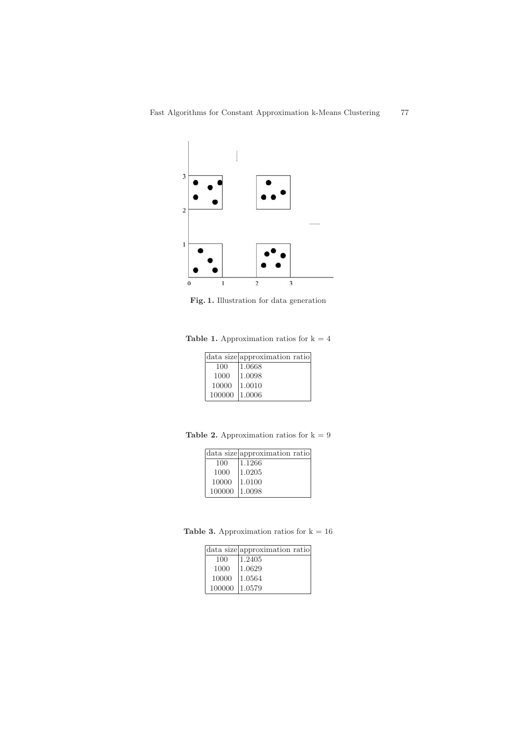

**Fig. 1.** Illustration for data generation

**Table 1.** Approximation ratios for  $k = 4$ 

|        | data size approximation ratio |
|--------|-------------------------------|
| 100    | 1.0668                        |
| 1000   | 1.0098                        |
| 10000  | 1.0010                        |
| 100000 | 11.0006                       |

**Table 2.** Approximation ratios for  $k = 9$ 

|        | data size approximation ratio |
|--------|-------------------------------|
| 100    | 1.1266                        |
| 1000   | 1.0205                        |
| 10000  | 1.0100                        |
| 100000 | 1.0098                        |

**Table 3.** Approximation ratios for  $k = 16$ 

| data size approximation ratio |
|-------------------------------|
| 1.2405                        |
| 1.0629                        |
| 1.0564                        |
| 100000 1.0579                 |
|                               |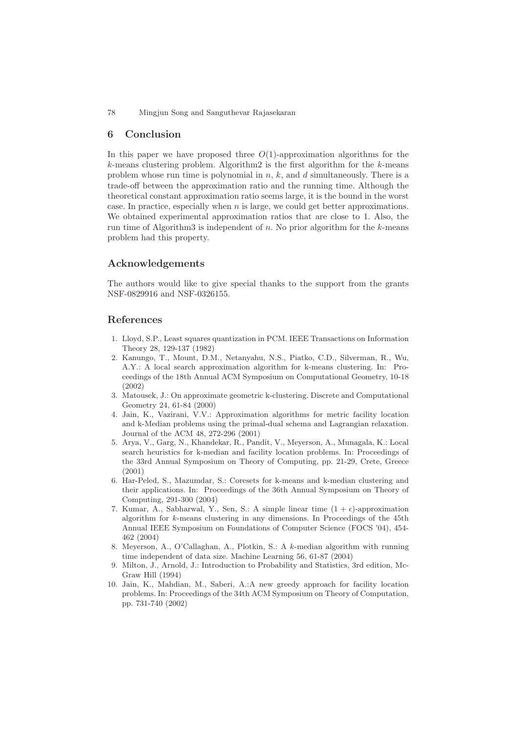### **6 Conclusion**

In this paper we have proposed three  $O(1)$ -approximation algorithms for the  $k$ -means clustering problem. Algorithm2 is the first algorithm for the  $k$ -means problem whose run time is polynomial in  $n, k$ , and  $d$  simultaneously. There is a trade-off between the approximation ratio and the running time. Although the theoretical constant approximation ratio seems large, it is the bound in the worst case. In practice, especially when  $n$  is large, we could get better approximations. We obtained experimental approximation ratios that are close to 1. Also, the run time of Algorithm3 is independent of n. No prior algorithm for the  $k$ -means problem had this property.

### **Acknowledgements**

The authors would like to give special thanks to the support from the grants NSF-0829916 and NSF-0326155.

### **References**

- 1. Lloyd, S.P., Least squares quantization in PCM. IEEE Transactions on Information Theory 28, 129-137 (1982)
- 2. Kanungo, T., Mount, D.M., Netanyahu, N.S., Piatko, C.D., Silverman, R., Wu, A.Y.: A local search approximation algorithm for k-means clustering. In: Proceedings of the 18th Annual ACM Symposium on Computational Geometry, 10-18 (2002)
- 3. Matousek, J.: On approximate geometric k-clustering. Discrete and Computational Geometry 24, 61-84 (2000)
- 4. Jain, K., Vazirani, V.V.: Approximation algorithms for metric facility location and k-Median problems using the primal-dual schema and Lagrangian relaxation. Journal of the ACM 48, 272-296 (2001)
- 5. Arya, V., Garg, N., Khandekar, R., Pandit, V., Meyerson, A., Munagala, K.: Local search heuristics for k-median and facility location problems. In: Proceedings of the 33rd Annual Symposium on Theory of Computing, pp. 21-29, Crete, Greece (2001)
- 6. Har-Peled, S., Mazumdar, S.: Coresets for k-means and k-median clustering and their applications. In: Proceedings of the 36th Annual Symposium on Theory of Computing, 291-300 (2004)
- 7. Kumar, A., Sabharwal, Y., Sen, S.: A simple linear time  $(1 + \epsilon)$ -approximation algorithm for k-means clustering in any dimensions. In Proceedings of the 45th Annual IEEE Symposium on Foundations of Computer Science (FOCS '04), 454- 462 (2004)
- 8. Meyerson, A., O'Callaghan, A., Plotkin, S.: A k-median algorithm with running time independent of data size. Machine Learning 56, 61-87 (2004)
- 9. Milton, J., Arnold, J.: Introduction to Probability and Statistics, 3rd edition, Mc-Graw Hill (1994)
- 10. Jain, K., Mahdian, M., Saberi, A.:A new greedy approach for facility location problems. In: Proceedings of the 34th ACM Symposium on Theory of Computation, pp. 731-740 (2002)